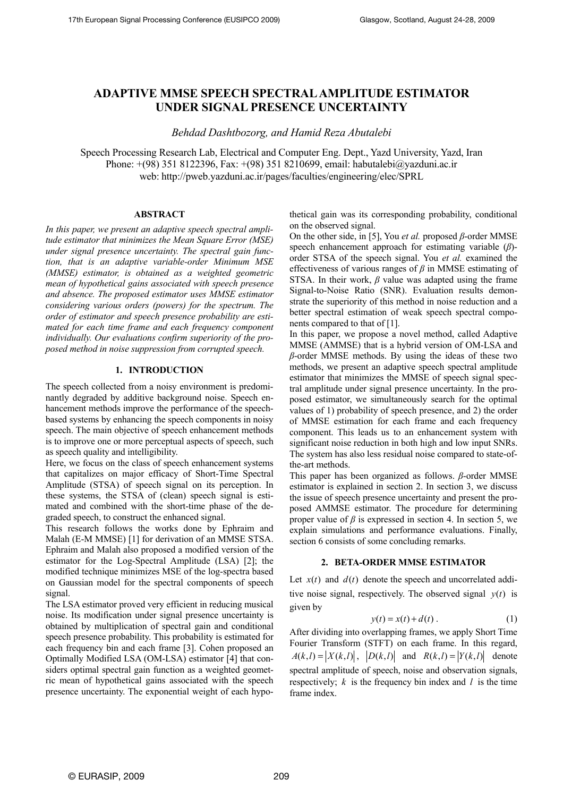# **ADAPTIVE MMSE SPEECH SPECTRAL AMPLITUDE ESTIMATOR UNDER SIGNAL PRESENCE UNCERTAINTY**

*Behdad Dashtbozorg, and Hamid Reza Abutalebi*

Speech Processing Research Lab, Electrical and Computer Eng. Dept., Yazd University, Yazd, Iran Phone: +(98) 351 8122396, Fax: +(98) 351 8210699, email: habutalebi@yazduni.ac.ir web: http://pweb.yazduni.ac.ir/pages/faculties/engineering/elec/SPRL

### **ABSTRACT**

*In this paper, we present an adaptive speech spectral amplitude estimator that minimizes the Mean Square Error (MSE) under signal presence uncertainty. The spectral gain function, that is an adaptive variable-order Minimum MSE (MMSE) estimator, is obtained as a weighted geometric mean of hypothetical gains associated with speech presence and absence. The proposed estimator uses MMSE estimator considering various orders (powers) for the spectrum. The order of estimator and speech presence probability are estimated for each time frame and each frequency component individually. Our evaluations confirm superiority of the proposed method in noise suppression from corrupted speech.* 

# **1. INTRODUCTION**

The speech collected from a noisy environment is predominantly degraded by additive background noise. Speech enhancement methods improve the performance of the speechbased systems by enhancing the speech components in noisy speech. The main objective of speech enhancement methods is to improve one or more perceptual aspects of speech, such as speech quality and intelligibility.

Here, we focus on the class of speech enhancement systems that capitalizes on major efficacy of Short-Time Spectral Amplitude (STSA) of speech signal on its perception. In these systems, the STSA of (clean) speech signal is estimated and combined with the short-time phase of the degraded speech, to construct the enhanced signal.

This research follows the works done by Ephraim and Malah (E-M MMSE) [1] for derivation of an MMSE STSA. Ephraim and Malah also proposed a modified version of the estimator for the Log-Spectral Amplitude (LSA) [2]; the modified technique minimizes MSE of the log-spectra based on Gaussian model for the spectral components of speech signal.

The LSA estimator proved very efficient in reducing musical noise. Its modification under signal presence uncertainty is obtained by multiplication of spectral gain and conditional speech presence probability. This probability is estimated for each frequency bin and each frame [3]. Cohen proposed an Optimally Modified LSA (OM-LSA) estimator [4] that considers optimal spectral gain function as a weighted geometric mean of hypothetical gains associated with the speech presence uncertainty. The exponential weight of each hypothetical gain was its corresponding probability, conditional on the observed signal.

On the other side, in [5], You *et al.* proposed *β*-order MMSE speech enhancement approach for estimating variable (*β*) order STSA of the speech signal. You *et al.* examined the effectiveness of various ranges of *β* in MMSE estimating of STSA. In their work, *β* value was adapted using the frame Signal-to-Noise Ratio (SNR). Evaluation results demonstrate the superiority of this method in noise reduction and a better spectral estimation of weak speech spectral components compared to that of [1].

In this paper, we propose a novel method, called Adaptive MMSE (AMMSE) that is a hybrid version of OM-LSA and *β*-order MMSE methods. By using the ideas of these two methods, we present an adaptive speech spectral amplitude estimator that minimizes the MMSE of speech signal spectral amplitude under signal presence uncertainty. In the proposed estimator, we simultaneously search for the optimal values of 1) probability of speech presence, and 2) the order of MMSE estimation for each frame and each frequency component. This leads us to an enhancement system with significant noise reduction in both high and low input SNRs. The system has also less residual noise compared to state-ofthe-art methods.

This paper has been organized as follows. *β*-order MMSE estimator is explained in section 2. In section 3, we discuss the issue of speech presence uncertainty and present the proposed AMMSE estimator. The procedure for determining proper value of  $\beta$  is expressed in section 4. In section 5, we explain simulations and performance evaluations. Finally, section 6 consists of some concluding remarks.

#### **2. BETA-ORDER MMSE ESTIMATOR**

Let  $x(t)$  and  $d(t)$  denote the speech and uncorrelated additive noise signal, respectively. The observed signal  $y(t)$  is given by

$$
y(t) = x(t) + d(t).
$$
 (1)

After dividing into overlapping frames, we apply Short Time Fourier Transform (STFT) on each frame. In this regard,  $A(k, l) = |X(k, l)|$ ,  $|D(k, l)|$  and  $R(k, l) = |Y(k, l)|$  denote spectral amplitude of speech, noise and observation signals, respectively; *k* is the frequency bin index and *l* is the time frame index.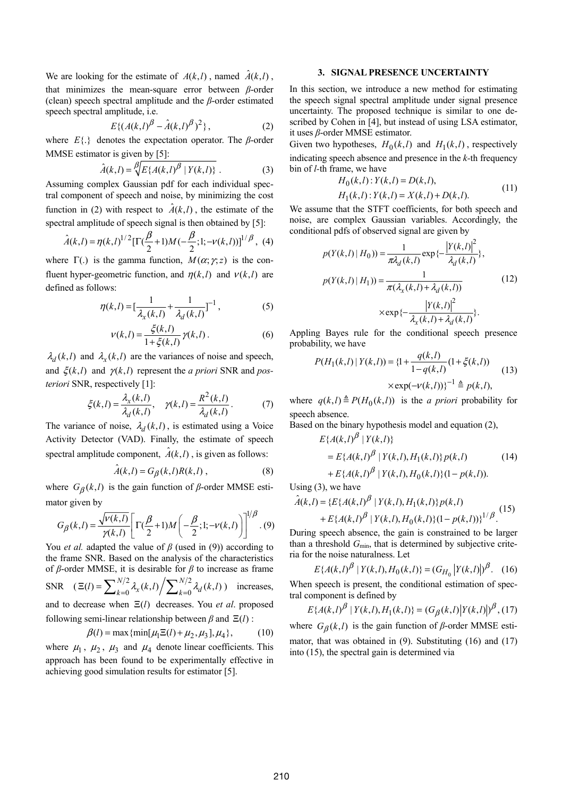We are looking for the estimate of  $A(k, l)$ , named  $\hat{A}(k, l)$ , that minimizes the mean-square error between *β*-order (clean) speech spectral amplitude and the *β*-order estimated speech spectral amplitude, i.e.

$$
E\{(A(k,l)^{\beta} - \hat{A}(k,l)^{\beta})^2\},
$$
 (2)

where  $E\{\cdot\}$  denotes the expectation operator. The *β*-order MMSE estimator is given by [5]:

$$
\hat{A}(k,l) = \sqrt{\mathcal{E}\{A(k,l)^{\beta} \mid Y(k,l)\}}.
$$
\n(3)

Assuming complex Gaussian pdf for each individual spectral component of speech and noise, by minimizing the cost function in (2) with respect to  $\hat{A}(k,l)$ , the estimate of the spectral amplitude of speech signal is then obtained by [5]:

$$
\hat{A}(k,l) = \eta(k,l)^{1/2} \left[ \Gamma(\frac{\beta}{2} + 1) M(-\frac{\beta}{2};1;-\nu(k,l)) \right]^{1/\beta}, (4)
$$

where  $\Gamma(.)$  is the gamma function,  $M(\alpha; \gamma, z)$  is the confluent hyper-geometric function, and  $\eta(k,l)$  and  $\nu(k,l)$  are defined as follows:

$$
\eta(k,l) = \left[\frac{1}{\lambda_x(k,l)} + \frac{1}{\lambda_d(k,l)}\right]^{-1},\tag{5}
$$

$$
v(k,l) = \frac{\xi(k,l)}{1 + \xi(k,l)} \gamma(k,l).
$$
 (6)

 $\lambda_d(k,l)$  and  $\lambda_x(k,l)$  are the variances of noise and speech, and  $\xi(k, l)$  and  $\gamma(k, l)$  represent the *a priori* SNR and *posteriori* SNR, respectively [1]:

$$
\xi(k,l) = \frac{\lambda_x(k,l)}{\lambda_d(k,l)}, \quad \gamma(k,l) = \frac{R^2(k,l)}{\lambda_d(k,l)}.
$$
 (7)

The variance of noise,  $\lambda_d(k,l)$ , is estimated using a Voice Activity Detector (VAD). Finally, the estimate of speech spectral amplitude component,  $\hat{A}(k,l)$ , is given as follows:

$$
\hat{A}(k,l) = G_{\beta}(k,l)R(k,l) ,\qquad (8)
$$

where  $G_{\beta}(k,l)$  is the gain function of  $\beta$ -order MMSE estimator given by

$$
G_{\beta}(k,l) = \frac{\sqrt{v(k,l)}}{\gamma(k,l)} \left[ \Gamma(\frac{\beta}{2} + 1) M\left(-\frac{\beta}{2}; 1; -v(k,l)\right) \right]^{1/\beta} . (9)
$$

You *et al.* adapted the value of *β* (used in (9)) according to the frame SNR. Based on the analysis of the characteristics of *β*-order MMSE, it is desirable for *β* to increase as frame SNR  $(\Xi(l) = \sum_{k=0}^{N/2} \lambda_x(k,l) / \sum_{k=0}^{N/2} \lambda_d(k,l) )$  increases, and to decrease when  $\Xi(l)$  decreases. You *et al.* proposed following semi-linear relationship between  $\beta$  and  $\Xi(l)$  :

$$
\beta(l) = \max\{\min[\mu_1 \Xi(l) + \mu_2, \mu_3], \mu_4\},\tag{10}
$$

where  $\mu_1$ ,  $\mu_2$ ,  $\mu_3$  and  $\mu_4$  denote linear coefficients. This approach has been found to be experimentally effective in achieving good simulation results for estimator [5].

#### **3. SIGNAL PRESENCE UNCERTAINTY**

In this section, we introduce a new method for estimating the speech signal spectral amplitude under signal presence uncertainty. The proposed technique is similar to one described by Cohen in [4], but instead of using LSA estimator, it uses *β*-order MMSE estimator.

Given two hypotheses,  $H_0(k,l)$  and  $H_1(k,l)$ , respectively indicating speech absence and presence in the *k-*th frequency bin of *l-*th frame, we have

$$
H_0(k,l): Y(k,l) = D(k,l),
$$
  
\n
$$
H_1(k,l): Y(k,l) = X(k,l) + D(k,l).
$$
\n(11)

We assume that the STFT coefficients, for both speech and noise, are complex Gaussian variables. Accordingly, the conditional pdfs of observed signal are given by

$$
p(Y(k,l) | H_0) = \frac{1}{\pi \lambda_d(k,l)} \exp\left\{-\frac{|Y(k,l)|^2}{\lambda_d(k,l)}\right\},
$$
  
\n
$$
p(Y(k,l) | H_1) = \frac{1}{\pi(\lambda_x(k,l) + \lambda_d(k,l))}
$$
  
\n
$$
\times \exp\left\{-\frac{|Y(k,l)|^2}{\lambda_x(k,l) + \lambda_d(k,l)}\right\}.
$$
\n(12)

Appling Bayes rule for the conditional speech presence probability, we have

$$
P(H_1(k,l) | Y(k,l)) = \{1 + \frac{q(k,l)}{1 - q(k,l)} (1 + \xi(k,l))
$$
  
 
$$
\times \exp(-\nu(k,l))\}^{-1} \triangleq p(k,l),
$$
 (13)

where  $q(k, l) \triangleq P(H_0(k, l))$  is the *a priori* probability for speech absence.

Based on the binary hypothesis model and equation (2),

$$
E\{A(k,l)^{\beta} | Y(k,l)\}\
$$
  
=  $E\{A(k,l)^{\beta} | Y(k,l), H_1(k,l)\} p(k,l)$  (14)  
+  $E\{A(k,l)^{\beta} | Y(k,l), H_0(k,l)\} (1-p(k,l)).$ 

Using (3), we have

$$
\hat{A}(k,l) = \{ E\{A(k,l)^{\beta} \mid Y(k,l), H_1(k,l)\} p(k,l) + E\{A(k,l)^{\beta} \mid Y(k,l), H_0(k,l)\} (1-p(k,l)) \}^{1/\beta}.
$$
\n(15)

During speech absence, the gain is constrained to be larger than a threshold  $G_{\text{min}}$ , that is determined by subjective criteria for the noise naturalness. Let

$$
E\{A(k,l)^{\beta} | Y(k,l), H_0(k,l)\} = (G_{H_0} | Y(k,l)|)^{\beta}. \quad (16)
$$

When speech is present, the conditional estimation of spectral component is defined by

$$
E\{A(k,l)^{\beta} | Y(k,l), H_1(k,l)\} = (G_{\beta}(k,l) | Y(k,l) |^{\beta}, (17)
$$

where  $G_{\beta}(k,l)$  is the gain function of  $\beta$ -order MMSE esti-

mator, that was obtained in (9). Substituting (16) and (17) into (15), the spectral gain is determined via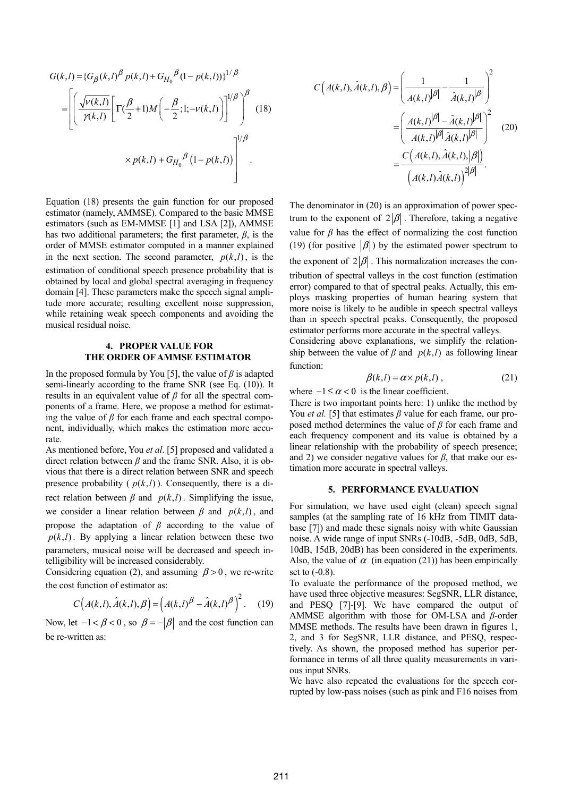$$
G(k,l) = \{G_{\beta}(k,l)^{\beta} p(k,l) + G_{H_0}{}^{\beta} (1 - p(k,l))\}^{1/\beta}
$$
  
= 
$$
\left[ \left( \frac{\sqrt{v(k,l)}}{\gamma(k,l)} \left[ \Gamma(\frac{\beta}{2} + 1) M\left(-\frac{\beta}{2}; 1; -v(k,l)\right) \right]^{1/\beta} \right]^{\beta} (18)
$$
  

$$
\times p(k,l) + G_{H_0}{}^{\beta} (1 - p(k,l)) \right]^{1/\beta}
$$

Equation (18) presents the gain function for our proposed estimator (namely, AMMSE). Compared to the basic MMSE estimators (such as EM-MMSE [1] and LSA [2]), AMMSE has two additional parameters; the first parameter,  $\beta$ , is the order of MMSE estimator computed in a manner explained in the next section. The second parameter,  $p(k, l)$ , is the estimation of conditional speech presence probability that is obtained by local and global spectral averaging in frequency domain [4]. These parameters make the speech signal amplitude more accurate; resulting excellent noise suppression, while retaining weak speech components and avoiding the musical residual noise.

# **4. PROPER VALUE FOR THE ORDER OF AMMSE ESTIMATOR**

In the proposed formula by You [5], the value of  $\beta$  is adapted semi-linearly according to the frame SNR (see Eq. (10)). It results in an equivalent value of *β* for all the spectral components of a frame. Here, we propose a method for estimating the value of  $\beta$  for each frame and each spectral component, individually, which makes the estimation more accurate.

As mentioned before, You *et al*. [5] proposed and validated a direct relation between *β* and the frame SNR. Also, it is obvious that there is a direct relation between SNR and speech presence probability  $(p(k, l))$ . Consequently, there is a direct relation between  $\beta$  and  $p(k, l)$ . Simplifying the issue, we consider a linear relation between  $\beta$  and  $p(k, l)$ , and propose the adaptation of *β* according to the value of  $p(k, l)$ . By applying a linear relation between these two parameters, musical noise will be decreased and speech intelligibility will be increased considerably.

Considering equation (2), and assuming  $\beta > 0$ , we re-write the cost function of estimator as:

$$
C\left(A(k,l),\hat{A}(k,l),\beta\right) = \left(A(k,l)^{\beta} - \hat{A}(k,l)^{\beta}\right)^2.
$$
 (19)

Now, let  $-1 < \beta < 0$ , so  $\beta = -|\beta|$  and the cost function can be re-written as:

$$
C\left(A(k,l),\hat{A}(k,l),\beta\right) = \left(\frac{1}{A(k,l)^{|\beta|}} - \frac{1}{\hat{A}(k,l)^{|\beta|}}\right)^2
$$

$$
= \left(\frac{A(k,l)^{|\beta|} - \hat{A}(k,l)^{|\beta|}}{A(k,l)^{|\beta|}\hat{A}(k,l)^{|\beta|}}\right)^2 \quad (20)
$$

$$
= \frac{C\left(A(k,l),\hat{A}(k,l),|\beta|\right)}{\left(A(k,l)\hat{A}(k,l)\right)^{2|\beta|}}.
$$

The denominator in (20) is an approximation of power spectrum to the exponent of  $2|\beta|$ . Therefore, taking a negative value for  $\beta$  has the effect of normalizing the cost function (19) (for positive  $|\beta|$ ) by the estimated power spectrum to the exponent of  $2|\beta|$ . This normalization increases the contribution of spectral valleys in the cost function (estimation error) compared to that of spectral peaks. Actually, this employs masking properties of human hearing system that more noise is likely to be audible in speech spectral valleys than in speech spectral peaks. Consequently, the proposed estimator performs more accurate in the spectral valleys.

Considering above explanations, we simplify the relationship between the value of  $\beta$  and  $p(k, l)$  as following linear function:

$$
\beta(k,l) = \alpha \times p(k,l) , \qquad (21)
$$

where  $-1 \le \alpha < 0$  is the linear coefficient.

There is two important points here: 1) unlike the method by You *et al.* [5] that estimates *β* value for each frame, our proposed method determines the value of *β* for each frame and each frequency component and its value is obtained by a linear relationship with the probability of speech presence; and 2) we consider negative values for *β*, that make our estimation more accurate in spectral valleys.

### **5. PERFORMANCE EVALUATION**

For simulation, we have used eight (clean) speech signal samples (at the sampling rate of 16 kHz from TIMIT database [7]) and made these signals noisy with white Gaussian noise. A wide range of input SNRs (-10dB, -5dB, 0dB, 5dB, 10dB, 15dB, 20dB) has been considered in the experiments. Also, the value of  $\alpha$  (in equation (21)) has been empirically set to  $(-0.8)$ .

To evaluate the performance of the proposed method, we have used three objective measures: SegSNR, LLR distance, and PESQ [7]-[9]. We have compared the output of AMMSE algorithm with those for OM-LSA and *β*-order MMSE methods. The results have been drawn in figures 1, 2, and 3 for SegSNR, LLR distance, and PESQ, respectively. As shown, the proposed method has superior performance in terms of all three quality measurements in various input SNRs.

We have also repeated the evaluations for the speech corrupted by low-pass noises (such as pink and F16 noises from